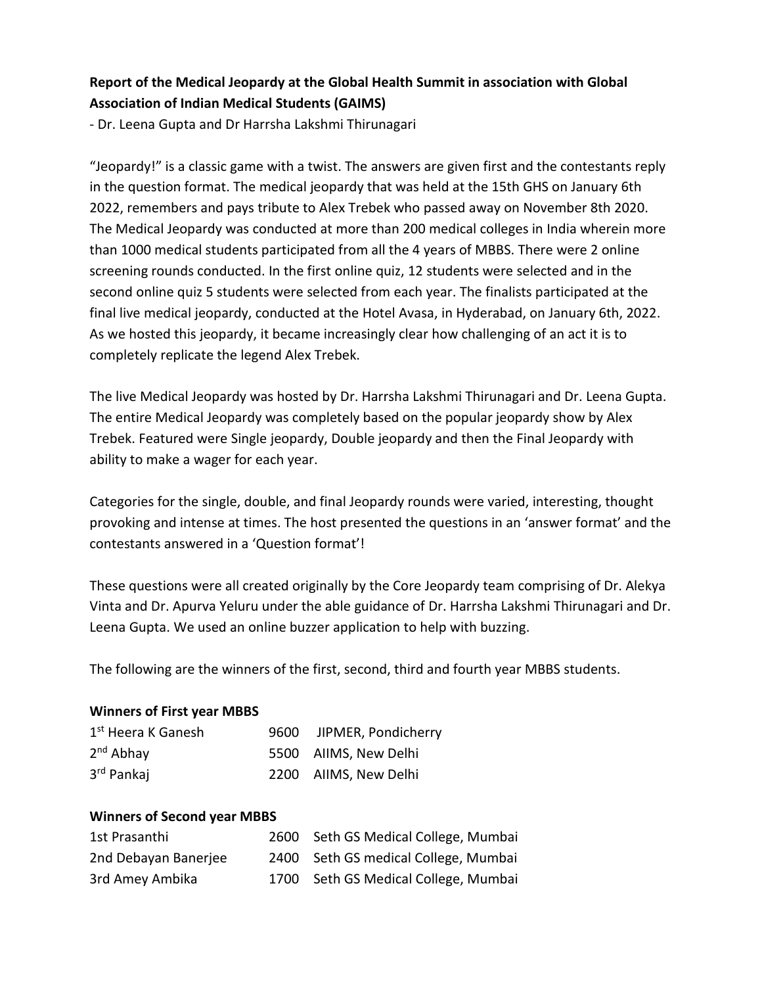# **Report of the Medical Jeopardy at the Global Health Summit in association with Global Association of Indian Medical Students (GAIMS)**

- Dr. Leena Gupta and Dr Harrsha Lakshmi Thirunagari

"Jeopardy!" is a classic game with a twist. The answers are given first and the contestants reply in the question format. The medical jeopardy that was held at the 15th GHS on January 6th 2022, remembers and pays tribute to Alex Trebek who passed away on November 8th 2020. The Medical Jeopardy was conducted at more than 200 medical colleges in India wherein more than 1000 medical students participated from all the 4 years of MBBS. There were 2 online screening rounds conducted. In the first online quiz, 12 students were selected and in the second online quiz 5 students were selected from each year. The finalists participated at the final live medical jeopardy, conducted at the Hotel Avasa, in Hyderabad, on January 6th, 2022. As we hosted this jeopardy, it became increasingly clear how challenging of an act it is to completely replicate the legend Alex Trebek.

The live Medical Jeopardy was hosted by Dr. Harrsha Lakshmi Thirunagari and Dr. Leena Gupta. The entire Medical Jeopardy was completely based on the popular jeopardy show by Alex Trebek. Featured were Single jeopardy, Double jeopardy and then the Final Jeopardy with ability to make a wager for each year.

Categories for the single, double, and final Jeopardy rounds were varied, interesting, thought provoking and intense at times. The host presented the questions in an 'answer format' and the contestants answered in a 'Question format'!

These questions were all created originally by the Core Jeopardy team comprising of Dr. Alekya Vinta and Dr. Apurva Yeluru under the able guidance of Dr. Harrsha Lakshmi Thirunagari and Dr. Leena Gupta. We used an online buzzer application to help with buzzing.

The following are the winners of the first, second, third and fourth year MBBS students.

#### **Winners of First year MBBS**

| 1 <sup>st</sup> Heera K Ganesh | 9600 JIPMER, Pondicherry |
|--------------------------------|--------------------------|
| $2nd$ Abhay                    | 5500 AIIMS, New Delhi    |
| 3 <sup>rd</sup> Pankaj         | 2200 AIIMS, New Delhi    |

#### **Winners of Second year MBBS**

| 1st Prasanthi        | 2600 Seth GS Medical College, Mumbai |
|----------------------|--------------------------------------|
| 2nd Debayan Banerjee | 2400 Seth GS medical College, Mumbai |
| 3rd Amey Ambika      | 1700 Seth GS Medical College, Mumbai |